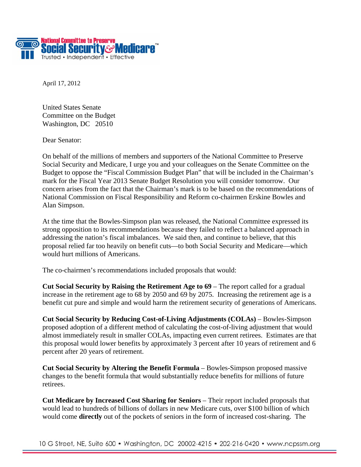

April 17, 2012

United States Senate Committee on the Budget Washington, DC 20510

Dear Senator:

On behalf of the millions of members and supporters of the National Committee to Preserve Social Security and Medicare, I urge you and your colleagues on the Senate Committee on the Budget to oppose the "Fiscal Commission Budget Plan" that will be included in the Chairman's mark for the Fiscal Year 2013 Senate Budget Resolution you will consider tomorrow. Our concern arises from the fact that the Chairman's mark is to be based on the recommendations of National Commission on Fiscal Responsibility and Reform co-chairmen Erskine Bowles and Alan Simpson.

At the time that the Bowles-Simpson plan was released, the National Committee expressed its strong opposition to its recommendations because they failed to reflect a balanced approach in addressing the nation's fiscal imbalances. We said then, and continue to believe, that this proposal relied far too heavily on benefit cuts—to both Social Security and Medicare—which would hurt millions of Americans.

The co-chairmen's recommendations included proposals that would:

**Cut Social Security by Raising the Retirement Age to 69** – The report called for a gradual increase in the retirement age to 68 by 2050 and 69 by 2075. Increasing the retirement age is a benefit cut pure and simple and would harm the retirement security of generations of Americans.

**Cut Social Security by Reducing Cost-of-Living Adjustments (COLAs)** – Bowles-Simpson proposed adoption of a different method of calculating the cost-of-living adjustment that would almost immediately result in smaller COLAs, impacting even current retirees. Estimates are that this proposal would lower benefits by approximately 3 percent after 10 years of retirement and 6 percent after 20 years of retirement.

**Cut Social Security by Altering the Benefit Formula** – Bowles-Simpson proposed massive changes to the benefit formula that would substantially reduce benefits for millions of future retirees.

**Cut Medicare by Increased Cost Sharing for Seniors** – Their report included proposals that would lead to hundreds of billions of dollars in new Medicare cuts, over \$100 billion of which would come **directly** out of the pockets of seniors in the form of increased cost-sharing. The

10 G Street, NE, Suite 600 • Washington, DC 20002-4215 • 202-216-0420 • www.ncpssm.org